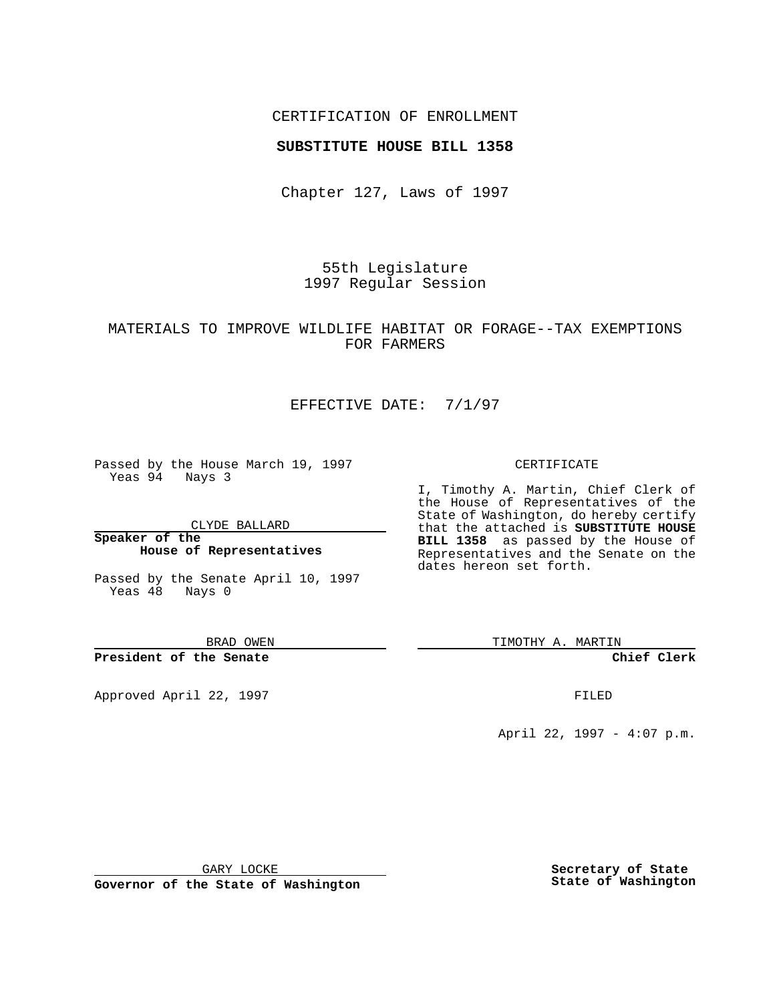## CERTIFICATION OF ENROLLMENT

### **SUBSTITUTE HOUSE BILL 1358**

Chapter 127, Laws of 1997

55th Legislature 1997 Regular Session

## MATERIALS TO IMPROVE WILDLIFE HABITAT OR FORAGE--TAX EXEMPTIONS FOR FARMERS

# EFFECTIVE DATE: 7/1/97

Passed by the House March 19, 1997 Yeas 94 Nays 3

CLYDE BALLARD

**Speaker of the House of Representatives**

Passed by the Senate April 10, 1997 Yeas 48 Nays 0

BRAD OWEN

**President of the Senate**

Approved April 22, 1997 **FILED** 

#### CERTIFICATE

I, Timothy A. Martin, Chief Clerk of the House of Representatives of the State of Washington, do hereby certify that the attached is **SUBSTITUTE HOUSE BILL 1358** as passed by the House of Representatives and the Senate on the dates hereon set forth.

TIMOTHY A. MARTIN

**Chief Clerk**

April 22, 1997 - 4:07 p.m.

GARY LOCKE

**Governor of the State of Washington**

**Secretary of State State of Washington**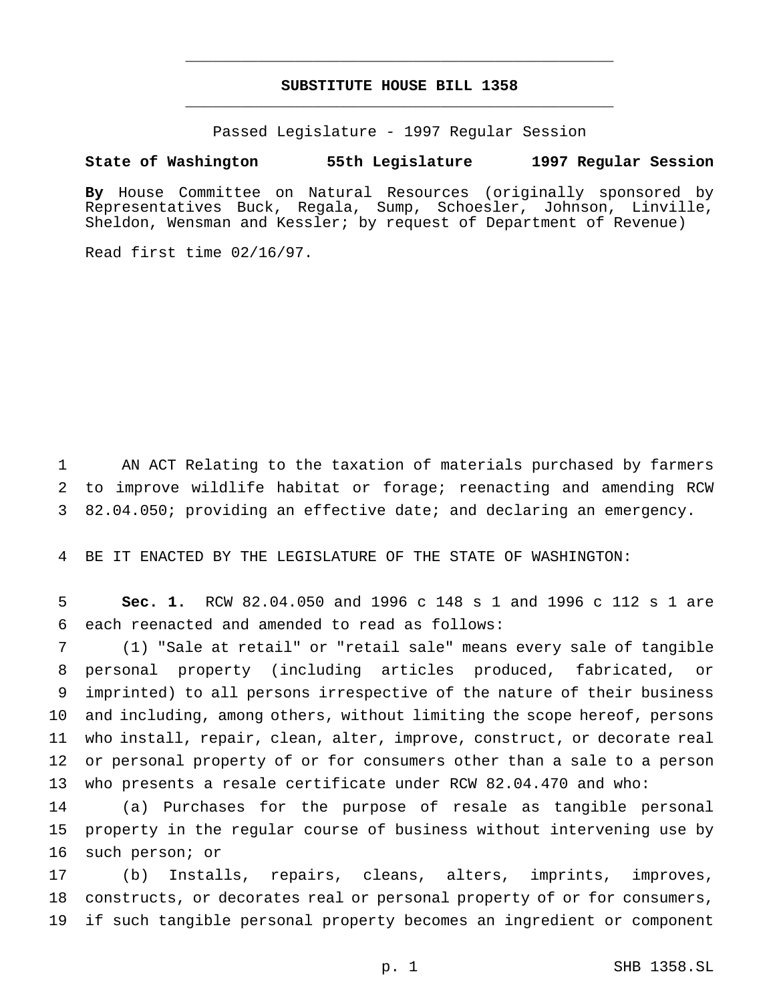# **SUBSTITUTE HOUSE BILL 1358** \_\_\_\_\_\_\_\_\_\_\_\_\_\_\_\_\_\_\_\_\_\_\_\_\_\_\_\_\_\_\_\_\_\_\_\_\_\_\_\_\_\_\_\_\_\_\_

\_\_\_\_\_\_\_\_\_\_\_\_\_\_\_\_\_\_\_\_\_\_\_\_\_\_\_\_\_\_\_\_\_\_\_\_\_\_\_\_\_\_\_\_\_\_\_

Passed Legislature - 1997 Regular Session

## **State of Washington 55th Legislature 1997 Regular Session**

**By** House Committee on Natural Resources (originally sponsored by Representatives Buck, Regala, Sump, Schoesler, Johnson, Linville, Sheldon, Wensman and Kessler; by request of Department of Revenue)

Read first time 02/16/97.

 AN ACT Relating to the taxation of materials purchased by farmers to improve wildlife habitat or forage; reenacting and amending RCW 82.04.050; providing an effective date; and declaring an emergency.

BE IT ENACTED BY THE LEGISLATURE OF THE STATE OF WASHINGTON:

 **Sec. 1.** RCW 82.04.050 and 1996 c 148 s 1 and 1996 c 112 s 1 are each reenacted and amended to read as follows:

 (1) "Sale at retail" or "retail sale" means every sale of tangible personal property (including articles produced, fabricated, or imprinted) to all persons irrespective of the nature of their business and including, among others, without limiting the scope hereof, persons who install, repair, clean, alter, improve, construct, or decorate real or personal property of or for consumers other than a sale to a person who presents a resale certificate under RCW 82.04.470 and who:

 (a) Purchases for the purpose of resale as tangible personal property in the regular course of business without intervening use by such person; or

 (b) Installs, repairs, cleans, alters, imprints, improves, constructs, or decorates real or personal property of or for consumers, if such tangible personal property becomes an ingredient or component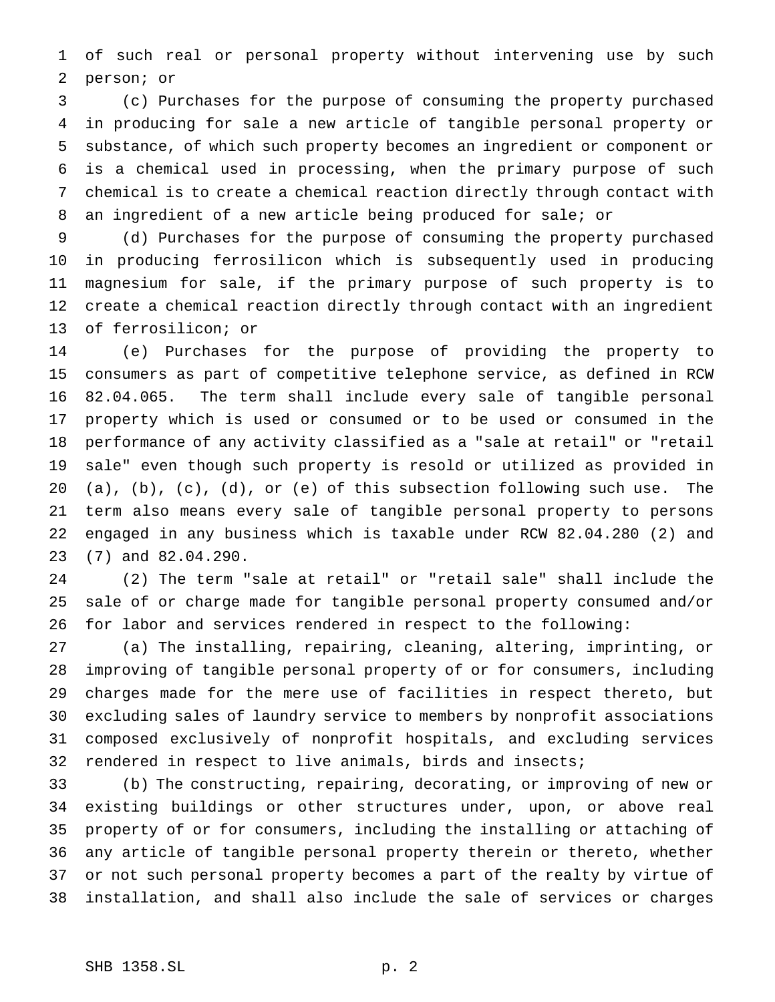of such real or personal property without intervening use by such person; or

 (c) Purchases for the purpose of consuming the property purchased in producing for sale a new article of tangible personal property or substance, of which such property becomes an ingredient or component or is a chemical used in processing, when the primary purpose of such chemical is to create a chemical reaction directly through contact with an ingredient of a new article being produced for sale; or

 (d) Purchases for the purpose of consuming the property purchased in producing ferrosilicon which is subsequently used in producing magnesium for sale, if the primary purpose of such property is to create a chemical reaction directly through contact with an ingredient of ferrosilicon; or

 (e) Purchases for the purpose of providing the property to consumers as part of competitive telephone service, as defined in RCW 82.04.065. The term shall include every sale of tangible personal property which is used or consumed or to be used or consumed in the performance of any activity classified as a "sale at retail" or "retail sale" even though such property is resold or utilized as provided in (a), (b), (c), (d), or (e) of this subsection following such use. The term also means every sale of tangible personal property to persons engaged in any business which is taxable under RCW 82.04.280 (2) and (7) and 82.04.290.

 (2) The term "sale at retail" or "retail sale" shall include the sale of or charge made for tangible personal property consumed and/or for labor and services rendered in respect to the following:

 (a) The installing, repairing, cleaning, altering, imprinting, or improving of tangible personal property of or for consumers, including charges made for the mere use of facilities in respect thereto, but excluding sales of laundry service to members by nonprofit associations composed exclusively of nonprofit hospitals, and excluding services rendered in respect to live animals, birds and insects;

 (b) The constructing, repairing, decorating, or improving of new or existing buildings or other structures under, upon, or above real property of or for consumers, including the installing or attaching of any article of tangible personal property therein or thereto, whether or not such personal property becomes a part of the realty by virtue of installation, and shall also include the sale of services or charges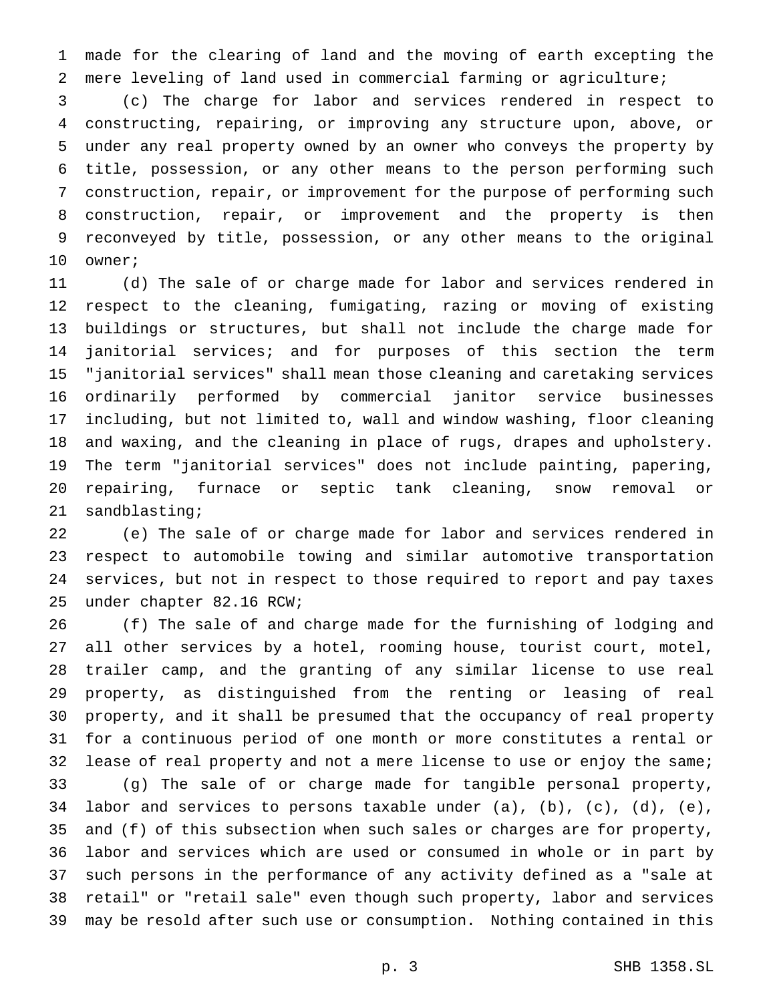made for the clearing of land and the moving of earth excepting the mere leveling of land used in commercial farming or agriculture;

 (c) The charge for labor and services rendered in respect to constructing, repairing, or improving any structure upon, above, or under any real property owned by an owner who conveys the property by title, possession, or any other means to the person performing such construction, repair, or improvement for the purpose of performing such construction, repair, or improvement and the property is then reconveyed by title, possession, or any other means to the original owner;

 (d) The sale of or charge made for labor and services rendered in respect to the cleaning, fumigating, razing or moving of existing buildings or structures, but shall not include the charge made for janitorial services; and for purposes of this section the term "janitorial services" shall mean those cleaning and caretaking services ordinarily performed by commercial janitor service businesses including, but not limited to, wall and window washing, floor cleaning and waxing, and the cleaning in place of rugs, drapes and upholstery. The term "janitorial services" does not include painting, papering, repairing, furnace or septic tank cleaning, snow removal or sandblasting;

 (e) The sale of or charge made for labor and services rendered in respect to automobile towing and similar automotive transportation services, but not in respect to those required to report and pay taxes under chapter 82.16 RCW;

 (f) The sale of and charge made for the furnishing of lodging and all other services by a hotel, rooming house, tourist court, motel, trailer camp, and the granting of any similar license to use real property, as distinguished from the renting or leasing of real property, and it shall be presumed that the occupancy of real property for a continuous period of one month or more constitutes a rental or lease of real property and not a mere license to use or enjoy the same; (g) The sale of or charge made for tangible personal property, labor and services to persons taxable under (a), (b), (c), (d), (e), and (f) of this subsection when such sales or charges are for property, labor and services which are used or consumed in whole or in part by such persons in the performance of any activity defined as a "sale at retail" or "retail sale" even though such property, labor and services may be resold after such use or consumption. Nothing contained in this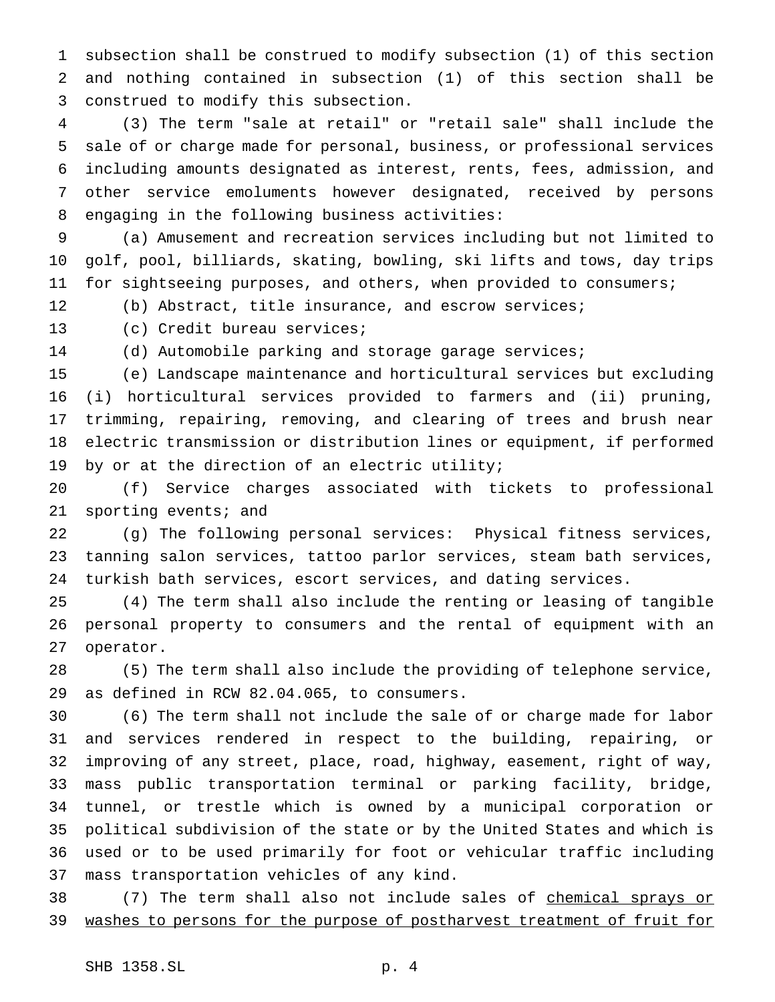subsection shall be construed to modify subsection (1) of this section and nothing contained in subsection (1) of this section shall be construed to modify this subsection.

 (3) The term "sale at retail" or "retail sale" shall include the sale of or charge made for personal, business, or professional services including amounts designated as interest, rents, fees, admission, and other service emoluments however designated, received by persons engaging in the following business activities:

 (a) Amusement and recreation services including but not limited to golf, pool, billiards, skating, bowling, ski lifts and tows, day trips for sightseeing purposes, and others, when provided to consumers;

(b) Abstract, title insurance, and escrow services;

(c) Credit bureau services;

(d) Automobile parking and storage garage services;

 (e) Landscape maintenance and horticultural services but excluding (i) horticultural services provided to farmers and (ii) pruning, trimming, repairing, removing, and clearing of trees and brush near electric transmission or distribution lines or equipment, if performed by or at the direction of an electric utility;

 (f) Service charges associated with tickets to professional sporting events; and

 (g) The following personal services: Physical fitness services, tanning salon services, tattoo parlor services, steam bath services, turkish bath services, escort services, and dating services.

 (4) The term shall also include the renting or leasing of tangible personal property to consumers and the rental of equipment with an operator.

 (5) The term shall also include the providing of telephone service, as defined in RCW 82.04.065, to consumers.

 (6) The term shall not include the sale of or charge made for labor and services rendered in respect to the building, repairing, or improving of any street, place, road, highway, easement, right of way, mass public transportation terminal or parking facility, bridge, tunnel, or trestle which is owned by a municipal corporation or political subdivision of the state or by the United States and which is used or to be used primarily for foot or vehicular traffic including mass transportation vehicles of any kind.

38 (7) The term shall also not include sales of chemical sprays or washes to persons for the purpose of postharvest treatment of fruit for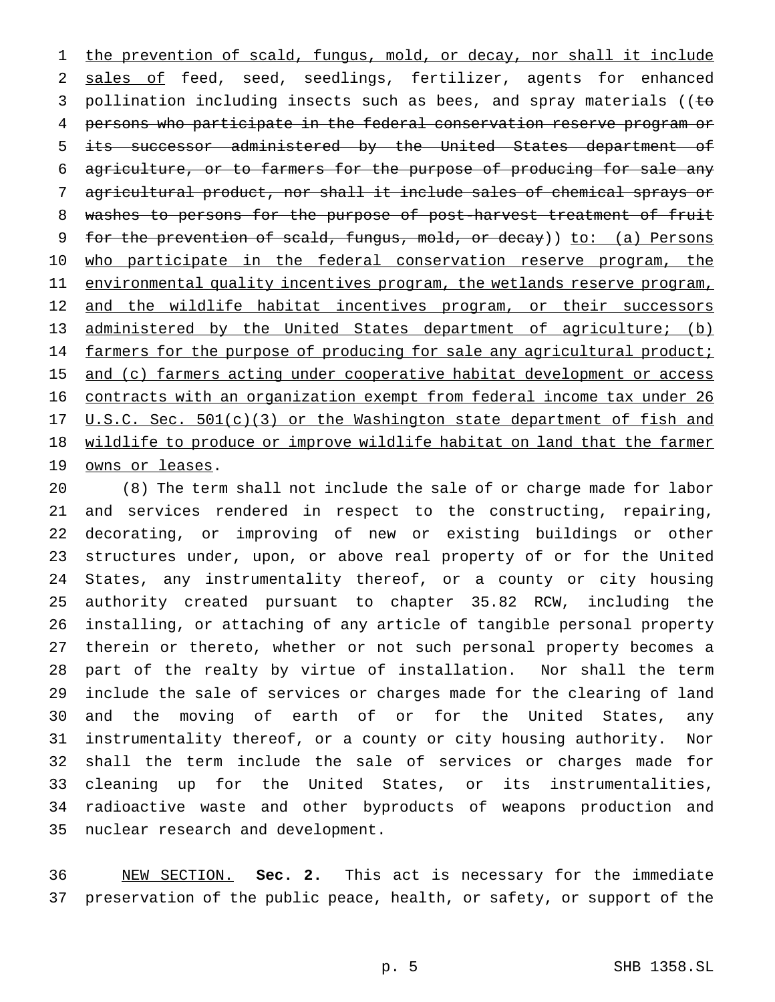1 the prevention of scald, fungus, mold, or decay, nor shall it include sales of feed, seed, seedlings, fertilizer, agents for enhanced 3 pollination including insects such as bees, and spray materials ((to persons who participate in the federal conservation reserve program or its successor administered by the United States department of 6 agriculture, or to farmers for the purpose of producing for sale any agricultural product, nor shall it include sales of chemical sprays or washes to persons for the purpose of post-harvest treatment of fruit 9 for the prevention of scald, fungus, mold, or decay)) to: (a) Persons 10 who participate in the federal conservation reserve program, the 11 environmental quality incentives program, the wetlands reserve program, 12 and the wildlife habitat incentives program, or their successors 13 administered by the United States department of agriculture; (b) 14 farmers for the purpose of producing for sale any agricultural product; 15 and (c) farmers acting under cooperative habitat development or access contracts with an organization exempt from federal income tax under 26 17 U.S.C. Sec. 501(c)(3) or the Washington state department of fish and 18 wildlife to produce or improve wildlife habitat on land that the farmer 19 owns or leases.

 (8) The term shall not include the sale of or charge made for labor and services rendered in respect to the constructing, repairing, decorating, or improving of new or existing buildings or other structures under, upon, or above real property of or for the United States, any instrumentality thereof, or a county or city housing authority created pursuant to chapter 35.82 RCW, including the installing, or attaching of any article of tangible personal property therein or thereto, whether or not such personal property becomes a part of the realty by virtue of installation. Nor shall the term include the sale of services or charges made for the clearing of land and the moving of earth of or for the United States, any instrumentality thereof, or a county or city housing authority. Nor shall the term include the sale of services or charges made for cleaning up for the United States, or its instrumentalities, radioactive waste and other byproducts of weapons production and nuclear research and development.

 NEW SECTION. **Sec. 2.** This act is necessary for the immediate preservation of the public peace, health, or safety, or support of the